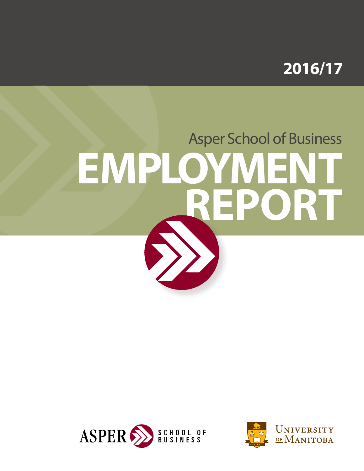

# Asper School of Business **EMPLOYMENT REPORT**



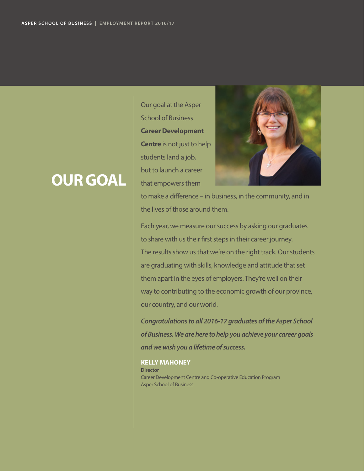### **OUR GOAL**

Our goal at the Asper School of Business **Career Development Centre** is not just to help students land a job, but to launch a career that empowers them



to make a difference – in business, in the community, and in the lives of those around them.

Each year, we measure our success by asking our graduates to share with us their first steps in their career journey. The results show us that we're on the right track. Our students are graduating with skills, knowledge and attitude that set them apart in the eyes of employers. They're well on their way to contributing to the economic growth of our province, our country, and our world.

*Congratulations to all 2016-17 graduates of the Asper School of Business. We are here to help you achieve your career goals and we wish you a lifetime of success.*

**KELLY MAHONEY Director** Career Development Centre and Co-operative Education Program Asper School of Business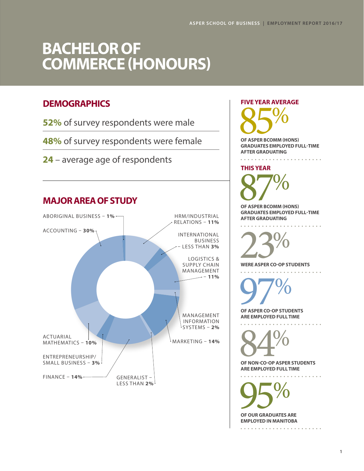### **BACHELOR OF COMMERCE (HONOURS)**

### **DEMOGRAPHICS**

**52%** of survey respondents were male

**48%** of survey respondents were female

**24** – average age of respondents





OF NON-CO-OP ASPER STUDENTS

**ARE EMPLOYED FULL TIME**

. . . . . . . . .

OF OUR GRADUATES ARE **EMPLOYED IN MANITOBA**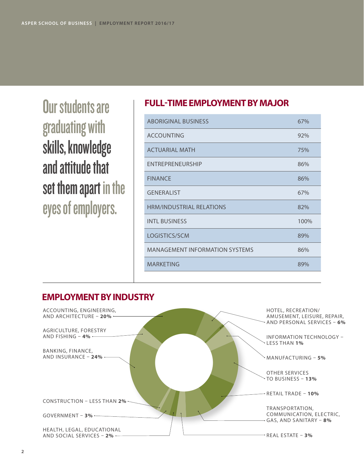Our students are graduating with skills, knowledge and attitude that set them apart in the eyes of employers.

### **FULL-TIME EMPLOYMENT BY MAJOR**

| <b>ABORIGINAL BUSINESS</b>            | 67%  |
|---------------------------------------|------|
| <b>ACCOUNTING</b>                     | 92%  |
| <b>ACTUARIAL MATH</b>                 | 75%  |
| ENTREPRENEURSHIP                      | 86%  |
| <b>FINANCE</b>                        | 86%  |
| <b>GENERALIST</b>                     | 67%  |
| <b>HRM/INDUSTRIAL RELATIONS</b>       | 82%  |
| <b>INTL BUSINESS</b>                  | 100% |
| LOGISTICS/SCM                         | 89%  |
| <b>MANAGEMENT INFORMATION SYSTEMS</b> | 86%  |
| <b>MARKETING</b>                      | 89%  |
|                                       |      |

### **EMPLOYMENT BY INDUSTRY**

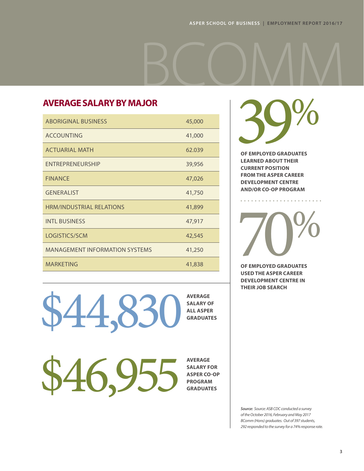### **AVERAGE SALARY BY MAJOR**

| <b>ABORIGINAL BUSINESS</b>            | 45,000 |
|---------------------------------------|--------|
| <b>ACCOUNTING</b>                     | 41,000 |
| <b>ACTUARIAL MATH</b>                 | 62.039 |
| <b>ENTREPRENEURSHIP</b>               | 39,956 |
| <b>FINANCE</b>                        | 47,026 |
| <b>GENERALIST</b>                     | 41,750 |
| <b>HRM/INDUSTRIAL RELATIONS</b>       | 41,899 |
| <b>INTL BUSINESS</b>                  | 47,917 |
| LOGISTICS/SCM                         | 42,545 |
| <b>MANAGEMENT INFORMATION SYSTEMS</b> | 41,250 |
| <b>MARKETING</b>                      | 41,838 |

**39%** BCOMM

**OF EMPLOYED GRADUATES LEARNED ABOUT THEIR CURRENT POSITION FROM THE ASPER CAREER DEVELOPMENT CENTRE AND/OR CO-OP PROGRAM**

OF EMPLOYED GRADUATES

**OF EMPLOYED GRADUATES USED THE ASPER CAREER DEVELOPMENT CENTRE IN THEIR JOB SEARCH**

\$44,830

**AVERAGE SALARY OF ALL ASPER GRADUATES**

**AVERAGE SALARY FOR ASPER CO-OP PROGRAM GRADUATES**

\$46,955

*Source: Source: ASB CDC conducted a survey of the October 2016, February and May 2017 BComm (Hons) graduates. Out of 397 students, 292 responded to the survey for a 74% response rate.*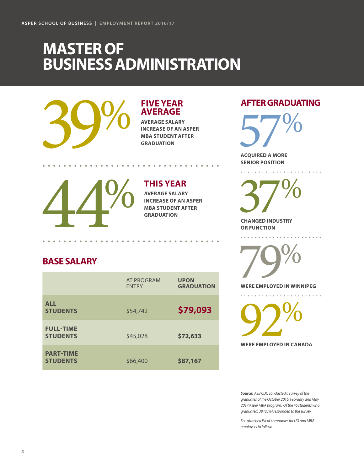### **MASTER OF BUSINESS ADMINISTRATION**



### **FIVE YEAR AVERAGE**

**AVERAGE SALARY INCREASE OF AN ASPER** 

**MARAGE SALARY INCREASE OF AN ASPE** 

### **THIS YEAR**

**AVERAGE SALARY INCREASE OF AN ASPER GRADUATION**

### **BASE SALARY**

|                                     | <b>AT PROGRAM</b><br><b>FNTRY</b> | <b>UPON</b><br><b>GRADUATION</b> |
|-------------------------------------|-----------------------------------|----------------------------------|
| <b>ALL</b><br><b>STUDENTS</b>       | \$54,742                          | \$79,093                         |
| <b>FULL-TIME</b><br><b>STUDENTS</b> | \$45,028                          | \$72,633                         |
| <b>PART-TIME</b><br><b>STUDENTS</b> | \$66,400                          | \$87,167                         |

### **AFTER GRADUATING**

 $\frac{1}{2}$ 

 $\sim$   $\sim$   $\sim$   $\sim$ 

 $57%$ **ACQUIRED A MORE** 

**SENIOR POSITION**

 $37%$ **CHANGED INDUSTRY** 

**OR FUNCTION**

WERE EMPLOYED IN WINT

**WERE EMPLOYED IN WINNIPEG** 

**92%** 

*Source: ASB CDC conducted a survey of the graduates of the October 2016, February and May 2017 Asper MBA program. Of the 46 students who graduated, 38 (83%) responded to the survey.* 

*See attached list of companies for UG and MBA employers to follow.*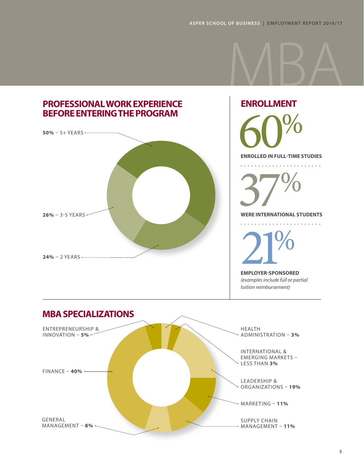

# **ENROLLMENT** ENROLLED IN FULL-TIME STUDIES

 $\frac{1}{2}$ 

 37% **WERE INTERNATIONAL STUDENTS** . . . . . . . . . . **21%** 

*(examples include full or partial* 

*tuition reimbursement)*

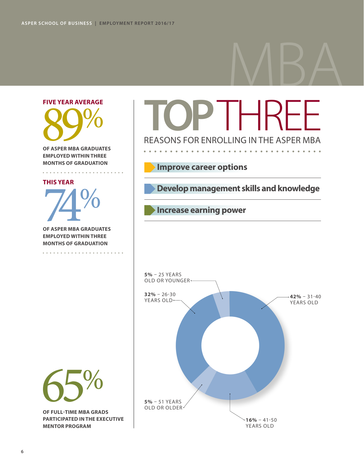# MBA

# **FIVE YEAR AVERAGE** OF ASPER MBA GRADUAT

**OF ASPER MBA GRADUATES EMPLOYED WITHIN THREE MONTHS OF GRADUATION**

#### **THIS YEAR**

OF ASPER MBA GRADUATES

**EMPLOYED WITHIN THREE MONTHS OF GRADUATION**

**TOP**THREE REASONS FOR ENROLLING IN THE ASPER MBA

### **Improve career options**

 **Develop management skills and knowledge**

### **Increase earning power**





**PARTICIPATED IN THE EXECUTIVE MENTOR PROGRAM**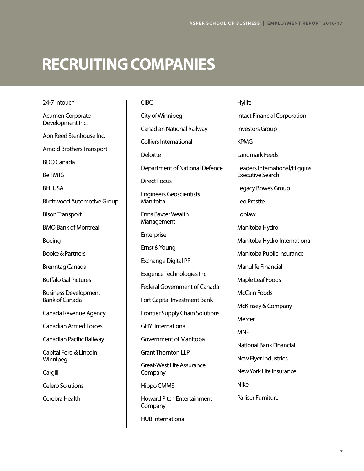## **RECRUITING COMPANIES**

Acumen Corporate Development Inc. Aon Reed Stenhouse Inc. Arnold Brothers Transport BDO Canada Bell MTS BHI USA Birchwood Automotive Group Bison Transport BMO Bank of Montreal Boeing Booke & Partners Brenntag Canada Buffalo Gal Pictures Business Development Bank of Canada Canada Revenue Agency Canadian Armed Forces Canadian Pacific Railway Capital Ford & Lincoln Winnipeg Cargill Celero Solutions Cerebra Health

24-7 Intouch

CIBC City of Winnipeg Canadian National Railway Colliers International Deloitte Department of National Defence Direct Focus Engineers Geoscientists Manitoba Enns Baxter Wealth Management Enterprise Ernst & Young Exchange Digital PR Exigence Technologies Inc Federal Government of Canada Fort Capital Investment Bank Frontier Supply Chain Solutions GHY International Government of Manitoba Grant Thornton LLP Great-West Life Assurance **Company** Hippo CMMS Howard Pitch Entertainment **Company** 

HUB International

Hylife Intact Financial Corporation Investors Group KPMG Landmark Feeds Leaders International/Higgins Executive Search Legacy Bowes Group Leo Prestte Loblaw Manitoba Hydro Manitoba Hydro International Manitoba Public Insurance Manulife Financial Maple Leaf Foods McCain Foods McKinsey & Company **Mercer** MNP National Bank Financial New Flyer Industries New York Life Insurance Nike Palliser Furniture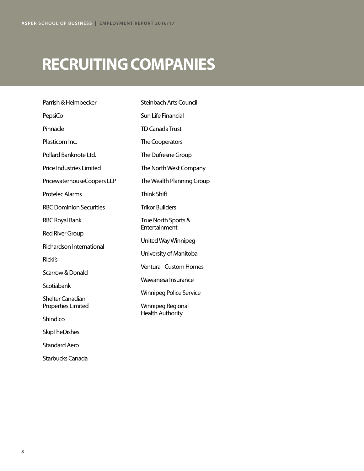# **RECRUITING COMPANIES**

Parrish & Heimbecker PepsiCo Pinnacle Plasticom Inc. Pollard Banknote Ltd. Price Industries Limited PricewaterhouseCoopers LLP Protelec Alarms RBC Dominion Securities RBC Royal Bank Red River Group Richardson International Ricki's Scarrow & Donald **Scotiabank** Shelter Canadian Properties Limited **Shindico SkipTheDishes** Standard Aero Starbucks Canada

Steinbach Arts Council Sun Life Financial TD Canada Trust The Cooperators The Dufresne Group The North West Company The Wealth Planning Group Think Shift Trikor Builders True North Sports & **Entertainment** United Way Winnipeg University of Manitoba Ventura - Custom Homes Wawanesa Insurance Winnipeg Police Service Winnipeg Regional Health Authority